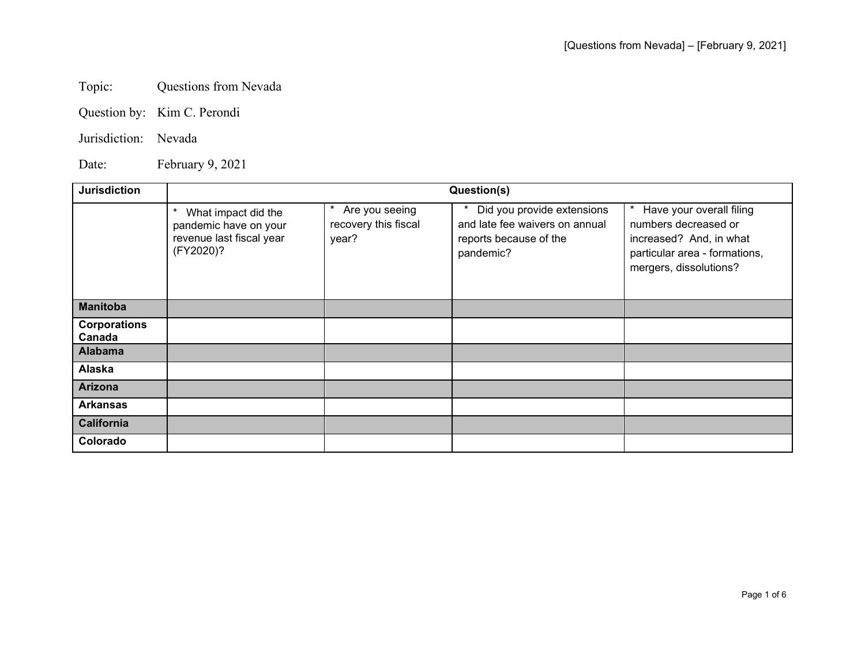## Topic: Questions from Nevada

Question by: Kim C. Perondi

## Jurisdiction: Nevada

Date: February 9, 2021

| <b>Jurisdiction</b>           | Question(s)                                                                                       |                                                 |                                                                                                     |                                                                                                                                        |
|-------------------------------|---------------------------------------------------------------------------------------------------|-------------------------------------------------|-----------------------------------------------------------------------------------------------------|----------------------------------------------------------------------------------------------------------------------------------------|
|                               | $^\star$<br>What impact did the<br>pandemic have on your<br>revenue last fiscal year<br>(FY2020)? | Are you seeing<br>recovery this fiscal<br>year? | Did you provide extensions<br>and late fee waivers on annual<br>reports because of the<br>pandemic? | Have your overall filing<br>numbers decreased or<br>increased? And, in what<br>particular area - formations,<br>mergers, dissolutions? |
| <b>Manitoba</b>               |                                                                                                   |                                                 |                                                                                                     |                                                                                                                                        |
| <b>Corporations</b><br>Canada |                                                                                                   |                                                 |                                                                                                     |                                                                                                                                        |
| <b>Alabama</b>                |                                                                                                   |                                                 |                                                                                                     |                                                                                                                                        |
| Alaska                        |                                                                                                   |                                                 |                                                                                                     |                                                                                                                                        |
| <b>Arizona</b>                |                                                                                                   |                                                 |                                                                                                     |                                                                                                                                        |
| <b>Arkansas</b>               |                                                                                                   |                                                 |                                                                                                     |                                                                                                                                        |
| <b>California</b>             |                                                                                                   |                                                 |                                                                                                     |                                                                                                                                        |
| Colorado                      |                                                                                                   |                                                 |                                                                                                     |                                                                                                                                        |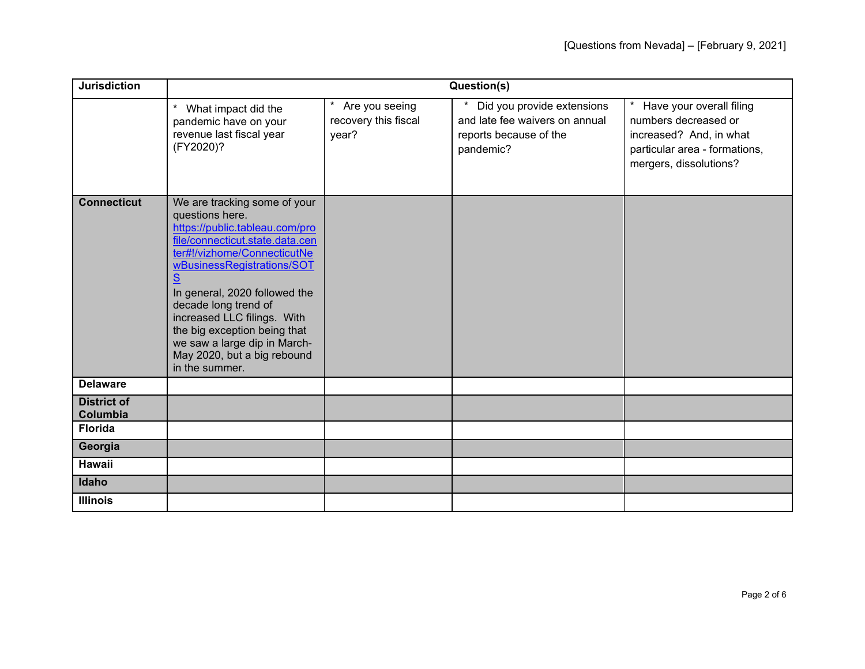| <b>Jurisdiction</b>            | Question(s)                                                                                                                                                                                                                                                                                                                                                                                     |                                                 |                                                                                                     |                                                                                                                                        |
|--------------------------------|-------------------------------------------------------------------------------------------------------------------------------------------------------------------------------------------------------------------------------------------------------------------------------------------------------------------------------------------------------------------------------------------------|-------------------------------------------------|-----------------------------------------------------------------------------------------------------|----------------------------------------------------------------------------------------------------------------------------------------|
|                                | $\star$<br>What impact did the<br>pandemic have on your<br>revenue last fiscal year<br>(FY2020)?                                                                                                                                                                                                                                                                                                | Are you seeing<br>recovery this fiscal<br>year? | Did you provide extensions<br>and late fee waivers on annual<br>reports because of the<br>pandemic? | Have your overall filing<br>numbers decreased or<br>increased? And, in what<br>particular area - formations,<br>mergers, dissolutions? |
| <b>Connecticut</b>             | We are tracking some of your<br>questions here.<br>https://public.tableau.com/pro<br>file/connecticut.state.data.cen<br>ter#!/vizhome/ConnecticutNe<br>wBusinessRegistrations/SOT<br>S<br>In general, 2020 followed the<br>decade long trend of<br>increased LLC filings. With<br>the big exception being that<br>we saw a large dip in March-<br>May 2020, but a big rebound<br>in the summer. |                                                 |                                                                                                     |                                                                                                                                        |
| <b>Delaware</b>                |                                                                                                                                                                                                                                                                                                                                                                                                 |                                                 |                                                                                                     |                                                                                                                                        |
| <b>District of</b><br>Columbia |                                                                                                                                                                                                                                                                                                                                                                                                 |                                                 |                                                                                                     |                                                                                                                                        |
| <b>Florida</b>                 |                                                                                                                                                                                                                                                                                                                                                                                                 |                                                 |                                                                                                     |                                                                                                                                        |
| Georgia                        |                                                                                                                                                                                                                                                                                                                                                                                                 |                                                 |                                                                                                     |                                                                                                                                        |
| <b>Hawaii</b>                  |                                                                                                                                                                                                                                                                                                                                                                                                 |                                                 |                                                                                                     |                                                                                                                                        |
| Idaho                          |                                                                                                                                                                                                                                                                                                                                                                                                 |                                                 |                                                                                                     |                                                                                                                                        |
| <b>Illinois</b>                |                                                                                                                                                                                                                                                                                                                                                                                                 |                                                 |                                                                                                     |                                                                                                                                        |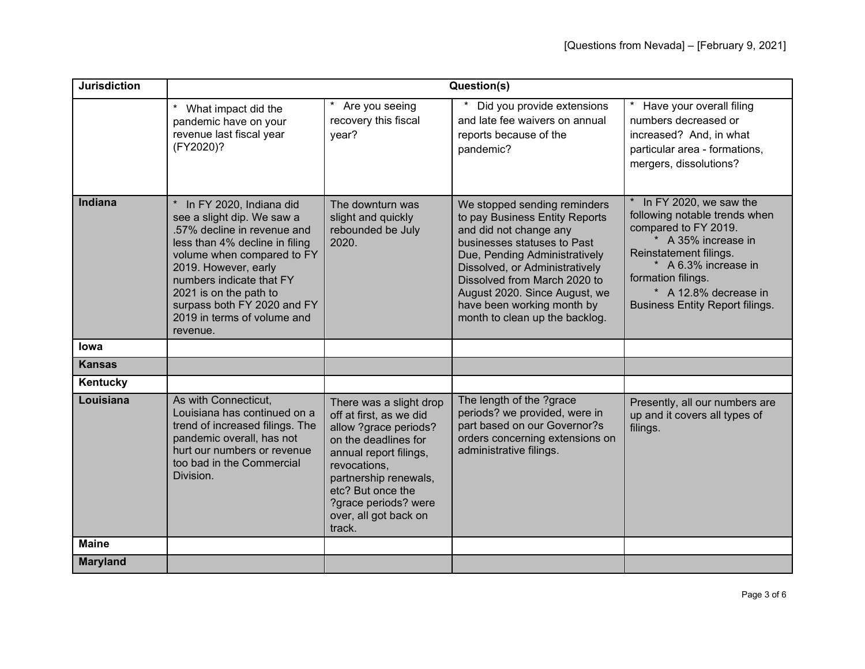| <b>Jurisdiction</b> | Question(s)                                                                                                                                                                                                                                                                                                  |                                                                                                                                                                                                                                                        |                                                                                                                                                                                                                                                                                                                             |                                                                                                                                                                                                                                                     |
|---------------------|--------------------------------------------------------------------------------------------------------------------------------------------------------------------------------------------------------------------------------------------------------------------------------------------------------------|--------------------------------------------------------------------------------------------------------------------------------------------------------------------------------------------------------------------------------------------------------|-----------------------------------------------------------------------------------------------------------------------------------------------------------------------------------------------------------------------------------------------------------------------------------------------------------------------------|-----------------------------------------------------------------------------------------------------------------------------------------------------------------------------------------------------------------------------------------------------|
|                     | $\star$<br>What impact did the<br>pandemic have on your<br>revenue last fiscal year<br>(FY2020)?                                                                                                                                                                                                             | * Are you seeing<br>recovery this fiscal<br>year?                                                                                                                                                                                                      | Did you provide extensions<br>and late fee waivers on annual<br>reports because of the<br>pandemic?                                                                                                                                                                                                                         | * Have your overall filing<br>numbers decreased or<br>increased? And, in what<br>particular area - formations,<br>mergers, dissolutions?                                                                                                            |
| <b>Indiana</b>      | In FY 2020, Indiana did<br>see a slight dip. We saw a<br>.57% decline in revenue and<br>less than 4% decline in filing<br>volume when compared to FY<br>2019. However, early<br>numbers indicate that FY<br>2021 is on the path to<br>surpass both FY 2020 and FY<br>2019 in terms of volume and<br>revenue. | The downturn was<br>slight and quickly<br>rebounded be July<br>2020.                                                                                                                                                                                   | We stopped sending reminders<br>to pay Business Entity Reports<br>and did not change any<br>businesses statuses to Past<br>Due, Pending Administratively<br>Dissolved, or Administratively<br>Dissolved from March 2020 to<br>August 2020. Since August, we<br>have been working month by<br>month to clean up the backlog. | * In FY 2020, we saw the<br>following notable trends when<br>compared to FY 2019.<br>* A 35% increase in<br>Reinstatement filings.<br>* A 6.3% increase in<br>formation filings.<br>* A 12.8% decrease in<br><b>Business Entity Report filings.</b> |
| lowa                |                                                                                                                                                                                                                                                                                                              |                                                                                                                                                                                                                                                        |                                                                                                                                                                                                                                                                                                                             |                                                                                                                                                                                                                                                     |
| <b>Kansas</b>       |                                                                                                                                                                                                                                                                                                              |                                                                                                                                                                                                                                                        |                                                                                                                                                                                                                                                                                                                             |                                                                                                                                                                                                                                                     |
| Kentucky            |                                                                                                                                                                                                                                                                                                              |                                                                                                                                                                                                                                                        |                                                                                                                                                                                                                                                                                                                             |                                                                                                                                                                                                                                                     |
| Louisiana           | As with Connecticut,<br>Louisiana has continued on a<br>trend of increased filings. The<br>pandemic overall, has not<br>hurt our numbers or revenue<br>too bad in the Commercial<br>Division.                                                                                                                | There was a slight drop<br>off at first, as we did<br>allow ?grace periods?<br>on the deadlines for<br>annual report filings,<br>revocations,<br>partnership renewals,<br>etc? But once the<br>?grace periods? were<br>over, all got back on<br>track. | The length of the ?grace<br>periods? we provided, were in<br>part based on our Governor?s<br>orders concerning extensions on<br>administrative filings.                                                                                                                                                                     | Presently, all our numbers are<br>up and it covers all types of<br>filings.                                                                                                                                                                         |
| <b>Maine</b>        |                                                                                                                                                                                                                                                                                                              |                                                                                                                                                                                                                                                        |                                                                                                                                                                                                                                                                                                                             |                                                                                                                                                                                                                                                     |
| <b>Maryland</b>     |                                                                                                                                                                                                                                                                                                              |                                                                                                                                                                                                                                                        |                                                                                                                                                                                                                                                                                                                             |                                                                                                                                                                                                                                                     |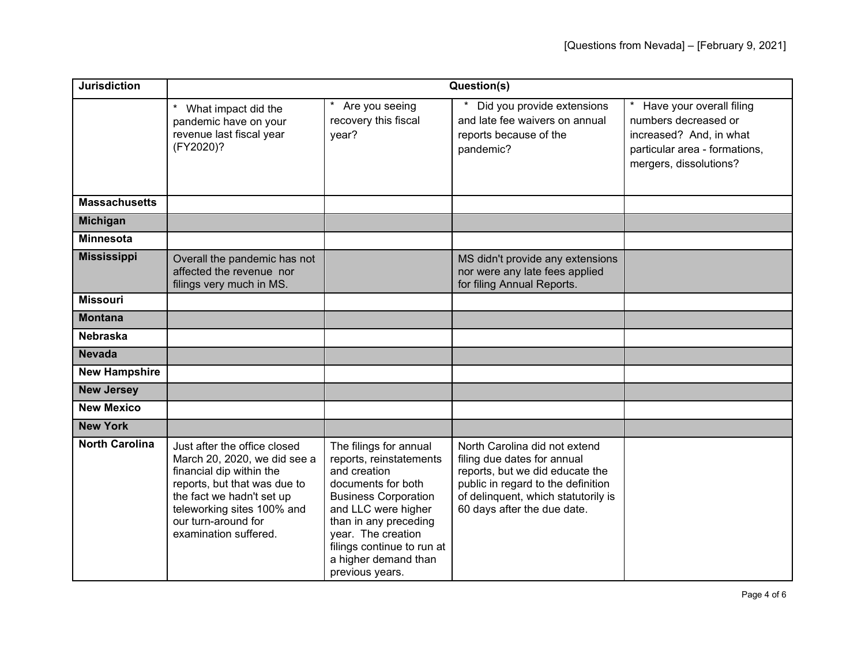| <b>Jurisdiction</b>   | Question(s)                                                                                                                                                                                                                         |                                                                                                                                                                                                                                                                       |                                                                                                                                                                                                             |                                                                                                                                        |
|-----------------------|-------------------------------------------------------------------------------------------------------------------------------------------------------------------------------------------------------------------------------------|-----------------------------------------------------------------------------------------------------------------------------------------------------------------------------------------------------------------------------------------------------------------------|-------------------------------------------------------------------------------------------------------------------------------------------------------------------------------------------------------------|----------------------------------------------------------------------------------------------------------------------------------------|
|                       | $^\star$<br>What impact did the<br>pandemic have on your<br>revenue last fiscal year<br>(FY2020)?                                                                                                                                   | * Are you seeing<br>recovery this fiscal<br>year?                                                                                                                                                                                                                     | Did you provide extensions<br>and late fee waivers on annual<br>reports because of the<br>pandemic?                                                                                                         | Have your overall filing<br>numbers decreased or<br>increased? And, in what<br>particular area - formations,<br>mergers, dissolutions? |
| <b>Massachusetts</b>  |                                                                                                                                                                                                                                     |                                                                                                                                                                                                                                                                       |                                                                                                                                                                                                             |                                                                                                                                        |
| <b>Michigan</b>       |                                                                                                                                                                                                                                     |                                                                                                                                                                                                                                                                       |                                                                                                                                                                                                             |                                                                                                                                        |
| <b>Minnesota</b>      |                                                                                                                                                                                                                                     |                                                                                                                                                                                                                                                                       |                                                                                                                                                                                                             |                                                                                                                                        |
| <b>Mississippi</b>    | Overall the pandemic has not<br>affected the revenue nor<br>filings very much in MS.                                                                                                                                                |                                                                                                                                                                                                                                                                       | MS didn't provide any extensions<br>nor were any late fees applied<br>for filing Annual Reports.                                                                                                            |                                                                                                                                        |
| <b>Missouri</b>       |                                                                                                                                                                                                                                     |                                                                                                                                                                                                                                                                       |                                                                                                                                                                                                             |                                                                                                                                        |
| <b>Montana</b>        |                                                                                                                                                                                                                                     |                                                                                                                                                                                                                                                                       |                                                                                                                                                                                                             |                                                                                                                                        |
| <b>Nebraska</b>       |                                                                                                                                                                                                                                     |                                                                                                                                                                                                                                                                       |                                                                                                                                                                                                             |                                                                                                                                        |
| <b>Nevada</b>         |                                                                                                                                                                                                                                     |                                                                                                                                                                                                                                                                       |                                                                                                                                                                                                             |                                                                                                                                        |
| <b>New Hampshire</b>  |                                                                                                                                                                                                                                     |                                                                                                                                                                                                                                                                       |                                                                                                                                                                                                             |                                                                                                                                        |
| <b>New Jersey</b>     |                                                                                                                                                                                                                                     |                                                                                                                                                                                                                                                                       |                                                                                                                                                                                                             |                                                                                                                                        |
| <b>New Mexico</b>     |                                                                                                                                                                                                                                     |                                                                                                                                                                                                                                                                       |                                                                                                                                                                                                             |                                                                                                                                        |
| <b>New York</b>       |                                                                                                                                                                                                                                     |                                                                                                                                                                                                                                                                       |                                                                                                                                                                                                             |                                                                                                                                        |
| <b>North Carolina</b> | Just after the office closed<br>March 20, 2020, we did see a<br>financial dip within the<br>reports, but that was due to<br>the fact we hadn't set up<br>teleworking sites 100% and<br>our turn-around for<br>examination suffered. | The filings for annual<br>reports, reinstatements<br>and creation<br>documents for both<br><b>Business Corporation</b><br>and LLC were higher<br>than in any preceding<br>year. The creation<br>filings continue to run at<br>a higher demand than<br>previous years. | North Carolina did not extend<br>filing due dates for annual<br>reports, but we did educate the<br>public in regard to the definition<br>of delinquent, which statutorily is<br>60 days after the due date. |                                                                                                                                        |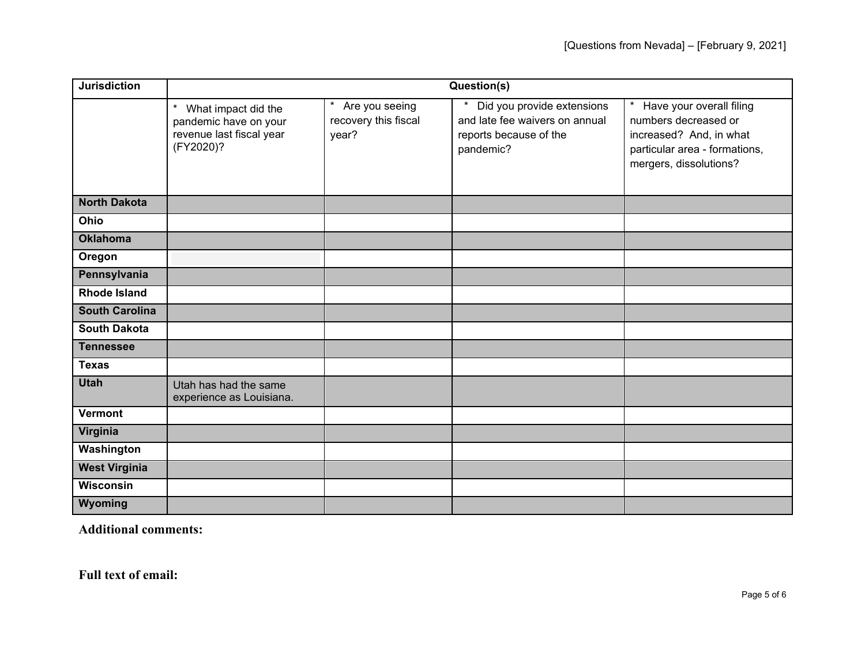| <b>Jurisdiction</b>   | Question(s)                                                                                      |                                                   |                                                                                                                |                                                                                                                                                   |
|-----------------------|--------------------------------------------------------------------------------------------------|---------------------------------------------------|----------------------------------------------------------------------------------------------------------------|---------------------------------------------------------------------------------------------------------------------------------------------------|
|                       | $\star$<br>What impact did the<br>pandemic have on your<br>revenue last fiscal year<br>(FY2020)? | * Are you seeing<br>recovery this fiscal<br>year? | Did you provide extensions<br>$\star$<br>and late fee waivers on annual<br>reports because of the<br>pandemic? | $\star$<br>Have your overall filing<br>numbers decreased or<br>increased? And, in what<br>particular area - formations,<br>mergers, dissolutions? |
| <b>North Dakota</b>   |                                                                                                  |                                                   |                                                                                                                |                                                                                                                                                   |
| Ohio                  |                                                                                                  |                                                   |                                                                                                                |                                                                                                                                                   |
| <b>Oklahoma</b>       |                                                                                                  |                                                   |                                                                                                                |                                                                                                                                                   |
| Oregon                |                                                                                                  |                                                   |                                                                                                                |                                                                                                                                                   |
| Pennsylvania          |                                                                                                  |                                                   |                                                                                                                |                                                                                                                                                   |
| <b>Rhode Island</b>   |                                                                                                  |                                                   |                                                                                                                |                                                                                                                                                   |
| <b>South Carolina</b> |                                                                                                  |                                                   |                                                                                                                |                                                                                                                                                   |
| <b>South Dakota</b>   |                                                                                                  |                                                   |                                                                                                                |                                                                                                                                                   |
| <b>Tennessee</b>      |                                                                                                  |                                                   |                                                                                                                |                                                                                                                                                   |
| <b>Texas</b>          |                                                                                                  |                                                   |                                                                                                                |                                                                                                                                                   |
| <b>Utah</b>           | Utah has had the same<br>experience as Louisiana.                                                |                                                   |                                                                                                                |                                                                                                                                                   |
| <b>Vermont</b>        |                                                                                                  |                                                   |                                                                                                                |                                                                                                                                                   |
| Virginia              |                                                                                                  |                                                   |                                                                                                                |                                                                                                                                                   |
| Washington            |                                                                                                  |                                                   |                                                                                                                |                                                                                                                                                   |
| <b>West Virginia</b>  |                                                                                                  |                                                   |                                                                                                                |                                                                                                                                                   |
| <b>Wisconsin</b>      |                                                                                                  |                                                   |                                                                                                                |                                                                                                                                                   |
| Wyoming               |                                                                                                  |                                                   |                                                                                                                |                                                                                                                                                   |

**Additional comments:** 

**Full text of email:**